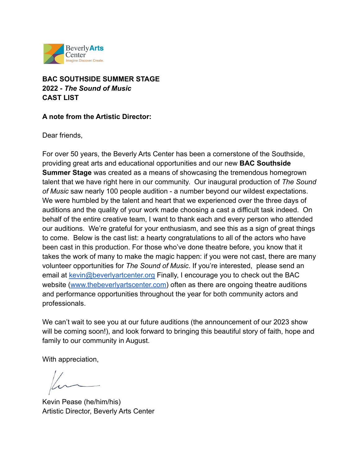

# **BAC SOUTHSIDE SUMMER STAGE 2022 -** *The Sound of Music* **CAST LIST**

## **A note from the Artistic Director:**

Dear friends,

For over 50 years, the Beverly Arts Center has been a cornerstone of the Southside, providing great arts and educational opportunities and our new **BAC Southside Summer Stage** was created as a means of showcasing the tremendous homegrown talent that we have right here in our community. Our inaugural production of *The Sound of Music* saw nearly 100 people audition - a number beyond our wildest expectations. We were humbled by the talent and heart that we experienced over the three days of auditions and the quality of your work made choosing a cast a difficult task indeed. On behalf of the entire creative team, I want to thank each and every person who attended our auditions. We're grateful for your enthusiasm, and see this as a sign of great things to come. Below is the cast list: a hearty congratulations to all of the actors who have been cast in this production. For those who've done theatre before, you know that it takes the work of many to make the magic happen: if you were not cast, there are many volunteer opportunities for *The Sound of Music*. If you're interested, please send an email at [kevin@beverlyartcenter.org](mailto:kevin@beverlyartcenter.org) Finally, I encourage you to check out the BAC website ([www.thebeverlyartscenter.com\)](http://www.thebeverlyartscenter.com) often as there are ongoing theatre auditions and performance opportunities throughout the year for both community actors and professionals.

We can't wait to see you at our future auditions (the announcement of our 2023 show will be coming soon!), and look forward to bringing this beautiful story of faith, hope and family to our community in August.

With appreciation,

Kevin Pease (he/him/his) Artistic Director, Beverly Arts Center